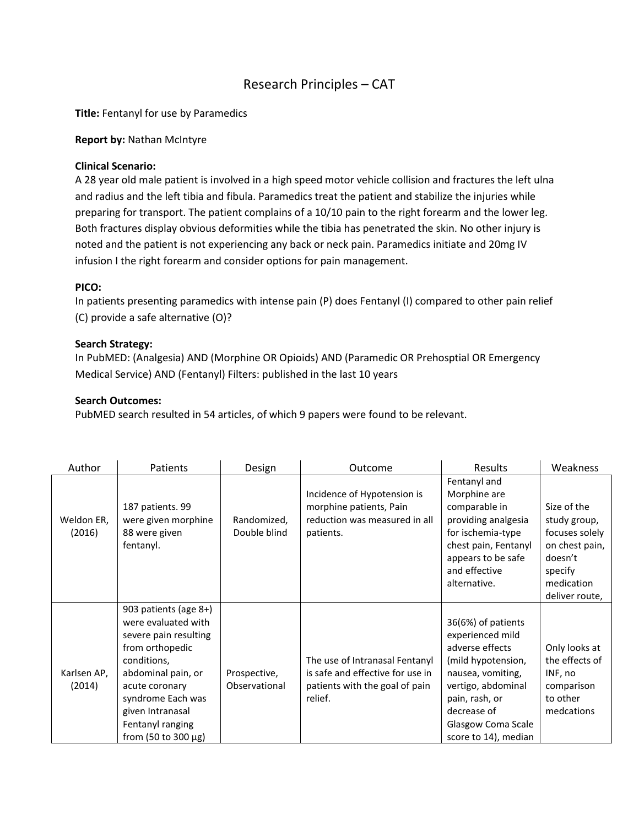# Research Principles – CAT

**Title:** Fentanyl for use by Paramedics

#### **Report by:** Nathan McIntyre

#### **Clinical Scenario:**

A 28 year old male patient is involved in a high speed motor vehicle collision and fractures the left ulna and radius and the left tibia and fibula. Paramedics treat the patient and stabilize the injuries while preparing for transport. The patient complains of a 10/10 pain to the right forearm and the lower leg. Both fractures display obvious deformities while the tibia has penetrated the skin. No other injury is noted and the patient is not experiencing any back or neck pain. Paramedics initiate and 20mg IV infusion I the right forearm and consider options for pain management.

## **PICO:**

In patients presenting paramedics with intense pain (P) does Fentanyl (I) compared to other pain relief (C) provide a safe alternative (O)?

### **Search Strategy:**

In PubMED: (Analgesia) AND (Morphine OR Opioids) AND (Paramedic OR Prehosptial OR Emergency Medical Service) AND (Fentanyl) Filters: published in the last 10 years

#### **Search Outcomes:**

PubMED search resulted in 54 articles, of which 9 papers were found to be relevant.

| Author                | Patients                                                                                                                                                                                                                            | Design                        | Outcome                                                                                                         | Results                                                                                                                                                                                                   | Weakness                                                                                                              |
|-----------------------|-------------------------------------------------------------------------------------------------------------------------------------------------------------------------------------------------------------------------------------|-------------------------------|-----------------------------------------------------------------------------------------------------------------|-----------------------------------------------------------------------------------------------------------------------------------------------------------------------------------------------------------|-----------------------------------------------------------------------------------------------------------------------|
| Weldon ER,<br>(2016)  | 187 patients. 99<br>were given morphine<br>88 were given<br>fentanyl.                                                                                                                                                               | Randomized,<br>Double blind   | Incidence of Hypotension is<br>morphine patients, Pain<br>reduction was measured in all<br>patients.            | Fentanyl and<br>Morphine are<br>comparable in<br>providing analgesia<br>for ischemia-type<br>chest pain, Fentanyl<br>appears to be safe<br>and effective<br>alternative.                                  | Size of the<br>study group,<br>focuses solely<br>on chest pain,<br>doesn't<br>specify<br>medication<br>deliver route, |
| Karlsen AP,<br>(2014) | 903 patients (age 8+)<br>were evaluated with<br>severe pain resulting<br>from orthopedic<br>conditions,<br>abdominal pain, or<br>acute coronary<br>syndrome Each was<br>given Intranasal<br>Fentanyl ranging<br>from (50 to 300 μg) | Prospective,<br>Observational | The use of Intranasal Fentanyl<br>is safe and effective for use in<br>patients with the goal of pain<br>relief. | 36(6%) of patients<br>experienced mild<br>adverse effects<br>(mild hypotension,<br>nausea, vomiting,<br>vertigo, abdominal<br>pain, rash, or<br>decrease of<br>Glasgow Coma Scale<br>score to 14), median | Only looks at<br>the effects of<br>INF, no<br>comparison<br>to other<br>medcations                                    |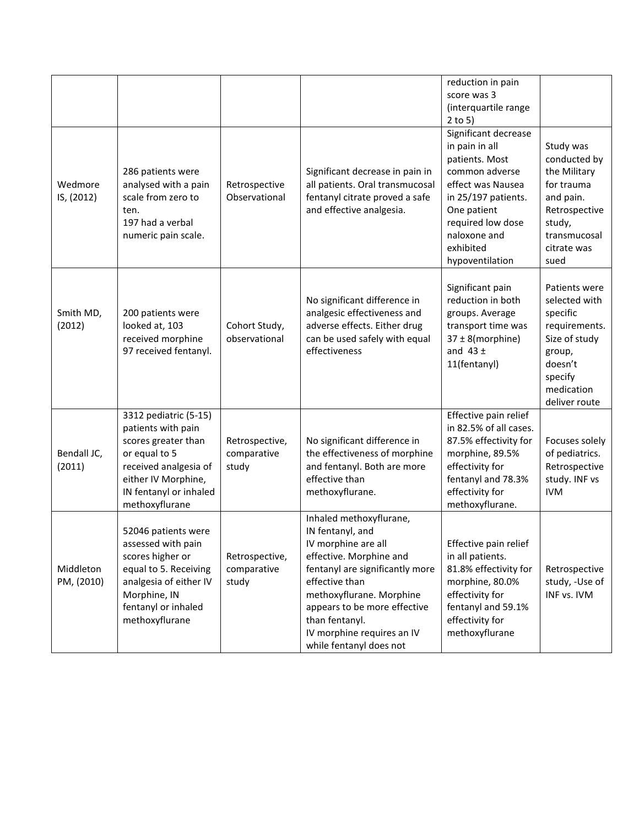|                         |                                                                                                                                                                                 |                                        |                                                                                                                                                                                                                                                                                           | reduction in pain<br>score was 3<br>(interquartile range<br>$2$ to 5)                                                                                                                                      |                                                                                                                                             |
|-------------------------|---------------------------------------------------------------------------------------------------------------------------------------------------------------------------------|----------------------------------------|-------------------------------------------------------------------------------------------------------------------------------------------------------------------------------------------------------------------------------------------------------------------------------------------|------------------------------------------------------------------------------------------------------------------------------------------------------------------------------------------------------------|---------------------------------------------------------------------------------------------------------------------------------------------|
| Wedmore<br>IS, (2012)   | 286 patients were<br>analysed with a pain<br>scale from zero to<br>ten.<br>197 had a verbal<br>numeric pain scale.                                                              | Retrospective<br>Observational         | Significant decrease in pain in<br>all patients. Oral transmucosal<br>fentanyl citrate proved a safe<br>and effective analgesia.                                                                                                                                                          | Significant decrease<br>in pain in all<br>patients. Most<br>common adverse<br>effect was Nausea<br>in 25/197 patients.<br>One patient<br>required low dose<br>naloxone and<br>exhibited<br>hypoventilation | Study was<br>conducted by<br>the Military<br>for trauma<br>and pain.<br>Retrospective<br>study,<br>transmucosal<br>citrate was<br>sued      |
| Smith MD,<br>(2012)     | 200 patients were<br>looked at, 103<br>received morphine<br>97 received fentanyl.                                                                                               | Cohort Study,<br>observational         | No significant difference in<br>analgesic effectiveness and<br>adverse effects. Either drug<br>can be used safely with equal<br>effectiveness                                                                                                                                             | Significant pain<br>reduction in both<br>groups. Average<br>transport time was<br>37 ± 8(morphine)<br>and $43 \pm$<br>11(fentanyl)                                                                         | Patients were<br>selected with<br>specific<br>requirements.<br>Size of study<br>group,<br>doesn't<br>specify<br>medication<br>deliver route |
| Bendall JC,<br>(2011)   | 3312 pediatric (5-15)<br>patients with pain<br>scores greater than<br>or equal to 5<br>received analgesia of<br>either IV Morphine,<br>IN fentanyl or inhaled<br>methoxyflurane | Retrospective,<br>comparative<br>study | No significant difference in<br>the effectiveness of morphine<br>and fentanyl. Both are more<br>effective than<br>methoxyflurane.                                                                                                                                                         | Effective pain relief<br>in 82.5% of all cases.<br>87.5% effectivity for<br>morphine, 89.5%<br>effectivity for<br>fentanyl and 78.3%<br>effectivity for<br>methoxyflurane.                                 | Focuses solely<br>of pediatrics.<br>Retrospective<br>study. INF vs<br><b>IVM</b>                                                            |
| Middleton<br>PM, (2010) | 52046 patients were<br>assessed with pain<br>scores higher or<br>equal to 5. Receiving<br>analgesia of either IV<br>Morphine, IN<br>fentanyl or inhaled<br>methoxyflurane       | Retrospective,<br>comparative<br>study | Inhaled methoxyflurane,<br>IN fentanyl, and<br>IV morphine are all<br>effective. Morphine and<br>fentanyl are significantly more<br>effective than<br>methoxyflurane. Morphine<br>appears to be more effective<br>than fentanyl.<br>IV morphine requires an IV<br>while fentanyl does not | Effective pain relief<br>in all patients.<br>81.8% effectivity for<br>morphine, 80.0%<br>effectivity for<br>fentanyl and 59.1%<br>effectivity for<br>methoxyflurane                                        | Retrospective<br>study, -Use of<br>INF vs. IVM                                                                                              |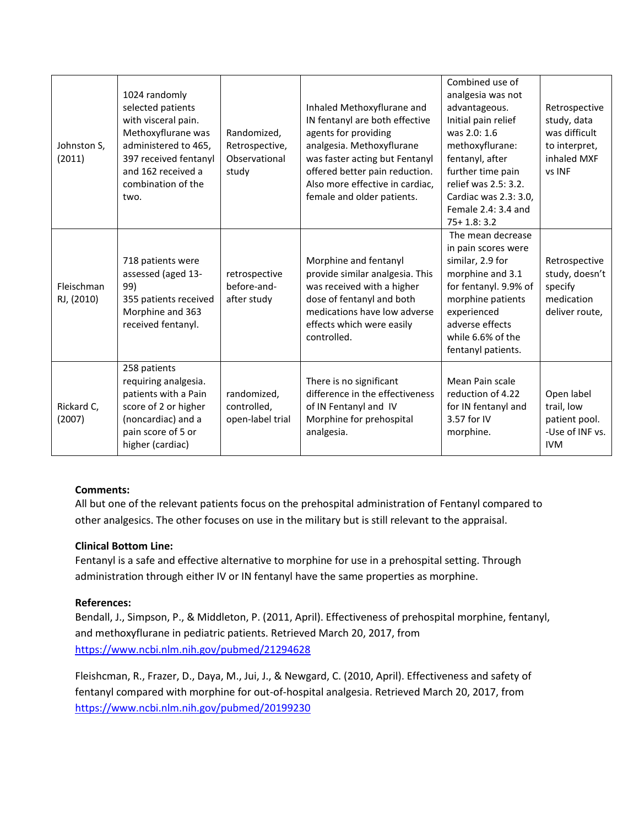| Johnston S,<br>(2011)    | 1024 randomly<br>selected patients<br>with visceral pain.<br>Methoxyflurane was<br>administered to 465,<br>397 received fentanyl<br>and 162 received a<br>combination of the<br>two. | Randomized,<br>Retrospective,<br>Observational<br>study | Inhaled Methoxyflurane and<br>IN fentanyl are both effective<br>agents for providing<br>analgesia. Methoxyflurane<br>was faster acting but Fentanyl<br>offered better pain reduction.<br>Also more effective in cardiac,<br>female and older patients. | Combined use of<br>analgesia was not<br>advantageous.<br>Initial pain relief<br>was 2.0: 1.6<br>methoxyflurane:<br>fentanyl, after<br>further time pain<br>relief was 2.5: 3.2.<br>Cardiac was 2.3: 3.0,<br>Female 2.4: 3.4 and<br>$75 + 1.8: 3.2$ | Retrospective<br>study, data<br>was difficult<br>to interpret,<br>inhaled MXF<br>vs INF |
|--------------------------|--------------------------------------------------------------------------------------------------------------------------------------------------------------------------------------|---------------------------------------------------------|--------------------------------------------------------------------------------------------------------------------------------------------------------------------------------------------------------------------------------------------------------|----------------------------------------------------------------------------------------------------------------------------------------------------------------------------------------------------------------------------------------------------|-----------------------------------------------------------------------------------------|
| Fleischman<br>RJ, (2010) | 718 patients were<br>assessed (aged 13-<br>99)<br>355 patients received<br>Morphine and 363<br>received fentanyl.                                                                    | retrospective<br>before-and-<br>after study             | Morphine and fentanyl<br>provide similar analgesia. This<br>was received with a higher<br>dose of fentanyl and both<br>medications have low adverse<br>effects which were easily<br>controlled.                                                        | The mean decrease<br>in pain scores were<br>similar, 2.9 for<br>morphine and 3.1<br>for fentanyl. 9.9% of<br>morphine patients<br>experienced<br>adverse effects<br>while 6.6% of the<br>fentanyl patients.                                        | Retrospective<br>study, doesn't<br>specify<br>medication<br>deliver route,              |
| Rickard C,<br>(2007)     | 258 patients<br>requiring analgesia.<br>patients with a Pain<br>score of 2 or higher<br>(noncardiac) and a<br>pain score of 5 or<br>higher (cardiac)                                 | randomized,<br>controlled,<br>open-label trial          | There is no significant<br>difference in the effectiveness<br>of IN Fentanyl and IV<br>Morphine for prehospital<br>analgesia.                                                                                                                          | Mean Pain scale<br>reduction of 4.22<br>for IN fentanyl and<br>3.57 for IV<br>morphine.                                                                                                                                                            | Open label<br>trail, low<br>patient pool.<br>-Use of INF vs.<br><b>IVM</b>              |

## **Comments:**

All but one of the relevant patients focus on the prehospital administration of Fentanyl compared to other analgesics. The other focuses on use in the military but is still relevant to the appraisal.

## **Clinical Bottom Line:**

Fentanyl is a safe and effective alternative to morphine for use in a prehospital setting. Through administration through either IV or IN fentanyl have the same properties as morphine.

## **References:**

Bendall, J., Simpson, P., & Middleton, P. (2011, April). Effectiveness of prehospital morphine, fentanyl, and methoxyflurane in pediatric patients. Retrieved March 20, 2017, from <https://www.ncbi.nlm.nih.gov/pubmed/21294628>

Fleishcman, R., Frazer, D., Daya, M., Jui, J., & Newgard, C. (2010, April). Effectiveness and safety of fentanyl compared with morphine for out-of-hospital analgesia. Retrieved March 20, 2017, from <https://www.ncbi.nlm.nih.gov/pubmed/20199230>